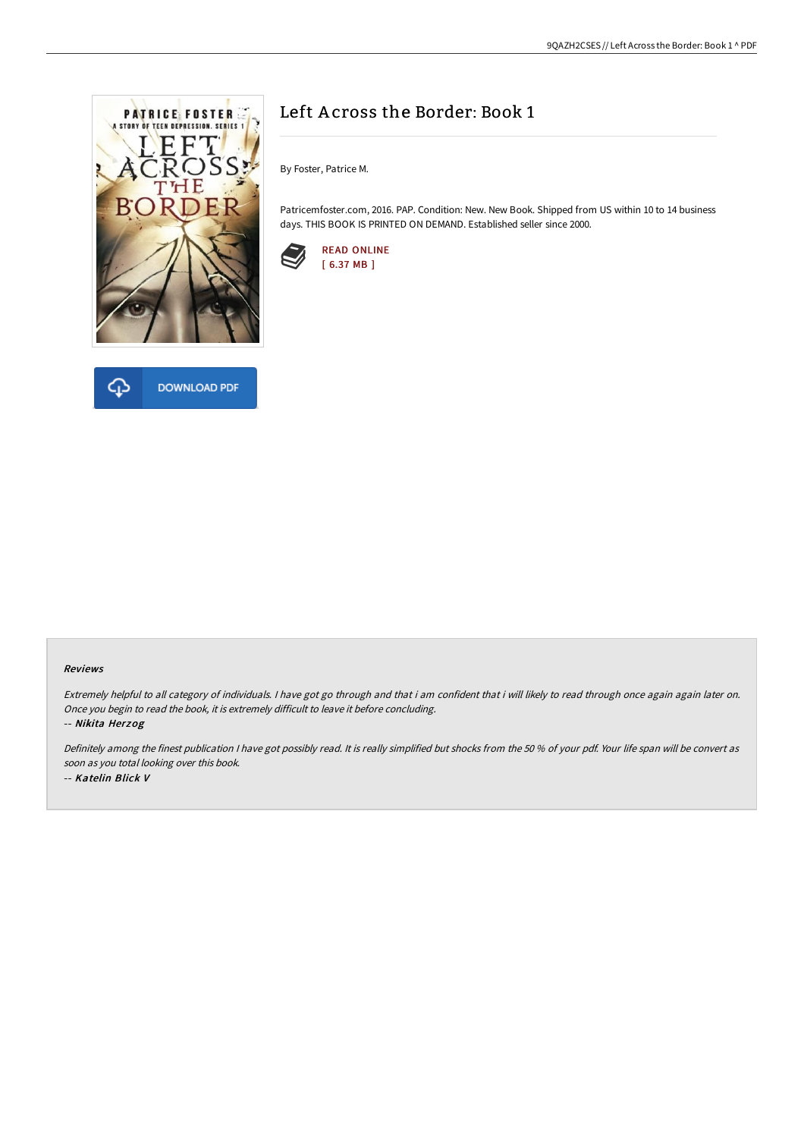



# Left A cross the Border: Book 1

By Foster, Patrice M.

Patricemfoster.com, 2016. PAP. Condition: New. New Book. Shipped from US within 10 to 14 business days. THIS BOOK IS PRINTED ON DEMAND. Established seller since 2000.



#### Reviews

Extremely helpful to all category of individuals. I have got go through and that i am confident that i will likely to read through once again again later on. Once you begin to read the book, it is extremely difficult to leave it before concluding.

-- Nikita Herzog

Definitely among the finest publication <sup>I</sup> have got possibly read. It is really simplified but shocks from the <sup>50</sup> % of your pdf. Your life span will be convert as soon as you total looking over this book. -- Katelin Blick V